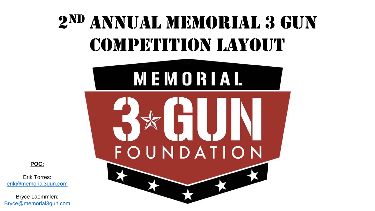## 2 ND ANNUAL MEMORIAL 3 GUN COMPETITION LAYOUT



**POC:**

Erik Torres: [erik@memorial3gun.com](mailto:erik@memorial3gun.com)

Bryce Laemmlen: [Bryce@memorial3gun.com](mailto:Bryce@memorial3gun.com)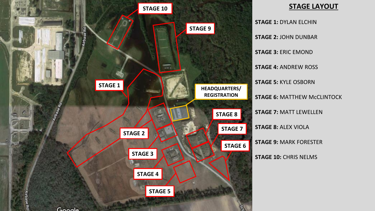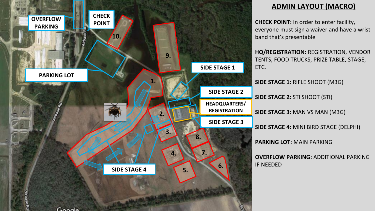

## **ADMIN LAYOUT (MACRO)**

**CHECK POINT:** In order to enter facility, everyone must sign a waiver and have a wrist band that's presentable

**HQ/REGISTRATION:** REGISTRATION, VENDOR TENTS, FOOD TRUCKS, PRIZE TABLE, STAGE, ETC.

**SIDE STAGE 1:** RIFLE SHOOT (M3G)

**SIDE STAGE 2:** STI SHOOT (STI)

**SIDE STAGE 3:** MAN VS MAN (M3G)

**SIDE STAGE 4:** MINI BIRD STAGE (DELPHI)

**PARKING LOT:** MAIN PARKING

**OVERFLOW PARKING:** ADDITIONAL PARKING IF NEEDED